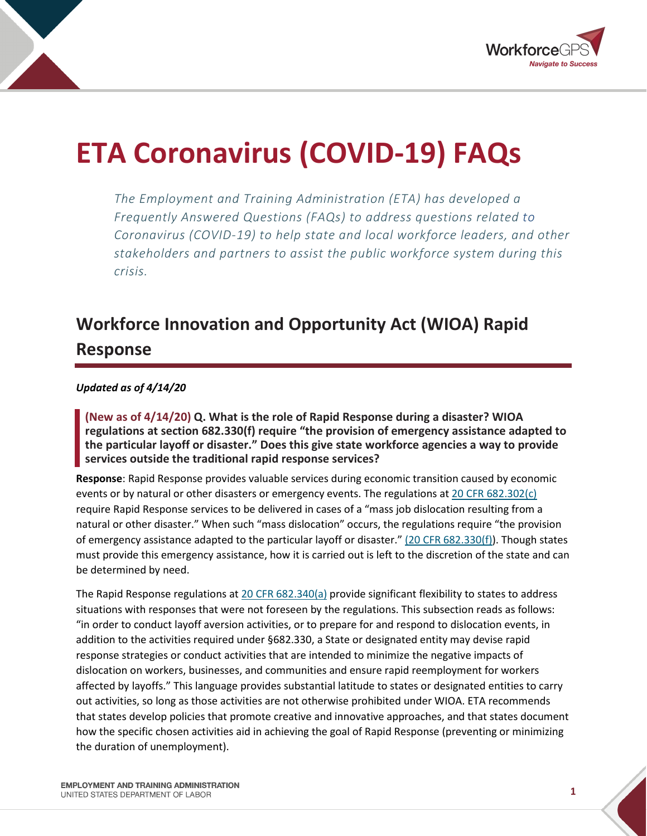

# **ETA Coronavirus (COVID-19) FAQs**

*The Employment and Training Administration (ETA) has developed a Frequently Answered Questions (FAQs) to address questions related to Coronavirus (COVID-19) to help state and local workforce leaders, and other stakeholders and partners to assist the public workforce system during this crisis.*

## **Workforce Innovation and Opportunity Act (WIOA) Rapid Response**

#### *Updated as of 4/14/20*

**(New as of 4/14/20) Q. What is the role of Rapid Response during a disaster? WIOA regulations at section 682.330(f) require "the provision of emergency assistance adapted to the particular layoff or disaster." Does this give state workforce agencies a way to provide services outside the traditional rapid response services?**

**Response**: Rapid Response provides valuable services during economic transition caused by economic events or by natural or other disasters or emergency events. The regulations a[t 20 CFR 682.302\(c\)](https://www.ecfr.gov/cgi-bin/text-idx?SID=b84c28fb69890a524509da303393fce9&mc=true&node=pt20.4.682&rgn=div5#se20.4.682_1302) require Rapid Response services to be delivered in cases of a "mass job dislocation resulting from a natural or other disaster." When such "mass dislocation" occurs, the regulations require "the provision of emergency assistance adapted to the particular layoff or disaster." [\(20 CFR 682.330\(f\)\)](https://www.ecfr.gov/cgi-bin/text-idx?SID=b84c28fb69890a524509da303393fce9&mc=true&node=pt20.4.682&rgn=div5#se20.4.682_1330). Though states must provide this emergency assistance, how it is carried out is left to the discretion of the state and can be determined by need.

The Rapid Response regulations at [20 CFR 682.340\(a\)](https://www.ecfr.gov/cgi-bin/text-idx?SID=b84c28fb69890a524509da303393fce9&mc=true&node=pt20.4.682&rgn=div5#se20.4.682_1330) provide significant flexibility to states to address situations with responses that were not foreseen by the regulations. This subsection reads as follows: "in order to conduct layoff aversion activities, or to prepare for and respond to dislocation events, in addition to the activities required under §682.330, a State or designated entity may devise rapid response strategies or conduct activities that are intended to minimize the negative impacts of dislocation on workers, businesses, and communities and ensure rapid reemployment for workers affected by layoffs." This language provides substantial latitude to states or designated entities to carry out activities, so long as those activities are not otherwise prohibited under WIOA. ETA recommends that states develop policies that promote creative and innovative approaches, and that states document how the specific chosen activities aid in achieving the goal of Rapid Response (preventing or minimizing the duration of unemployment).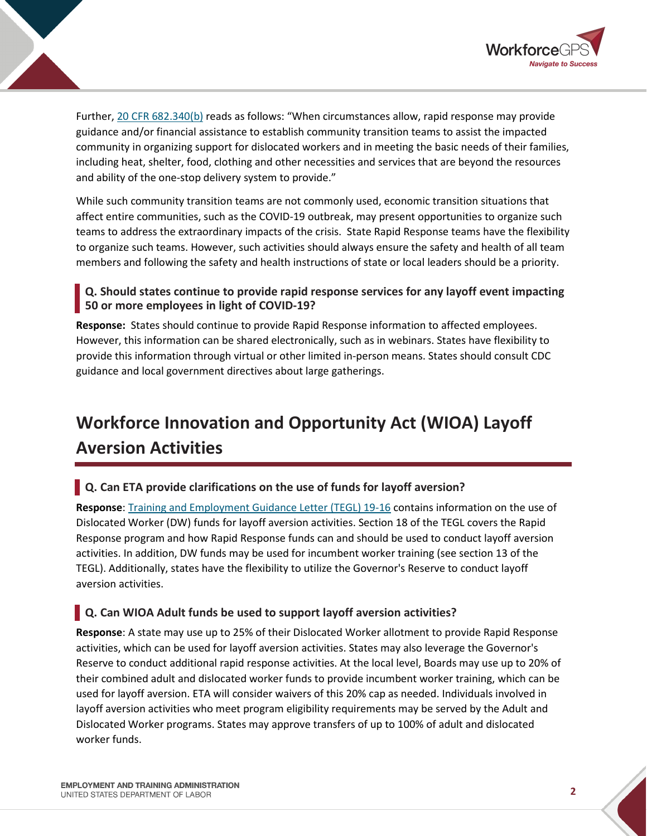

Further[, 20 CFR 682.340\(b\)](https://www.ecfr.gov/cgi-bin/text-idx?SID=b84c28fb69890a524509da303393fce9&mc=true&node=pt20.4.682&rgn=div5#se20.4.682_1330) reads as follows: "When circumstances allow, rapid response may provide guidance and/or financial assistance to establish community transition teams to assist the impacted community in organizing support for dislocated workers and in meeting the basic needs of their families, including heat, shelter, food, clothing and other necessities and services that are beyond the resources and ability of the one-stop delivery system to provide."

While such community transition teams are not commonly used, economic transition situations that affect entire communities, such as the COVID-19 outbreak, may present opportunities to organize such teams to address the extraordinary impacts of the crisis. State Rapid Response teams have the flexibility to organize such teams. However, such activities should always ensure the safety and health of all team members and following the safety and health instructions of state or local leaders should be a priority.

### **Q. Should states continue to provide rapid response services for any layoff event impacting 50 or more employees in light of COVID-19?**

**Response:** States should continue to provide Rapid Response information to affected employees. However, this information can be shared electronically, such as in webinars. States have flexibility to provide this information through virtual or other limited in-person means. States should consult CDC guidance and local government directives about large gatherings.

## **Workforce Innovation and Opportunity Act (WIOA) Layoff Aversion Activities**

### **Q. Can ETA provide clarifications on the use of funds for layoff aversion?**

**Response**: [Training and Employment Guidance Letter \(TEGL\) 19-16](https://wdr.doleta.gov/directives/corr_doc.cfm?DOCN=3851) contains information on the use of Dislocated Worker (DW) funds for layoff aversion activities. Section 18 of the TEGL covers the Rapid Response program and how Rapid Response funds can and should be used to conduct layoff aversion activities. In addition, DW funds may be used for incumbent worker training (see section 13 of the TEGL). Additionally, states have the flexibility to utilize the Governor's Reserve to conduct layoff aversion activities.

### **Q. Can WIOA Adult funds be used to support layoff aversion activities?**

**Response**: A state may use up to 25% of their Dislocated Worker allotment to provide Rapid Response activities, which can be used for layoff aversion activities. States may also leverage the Governor's Reserve to conduct additional rapid response activities. At the local level, Boards may use up to 20% of their combined adult and dislocated worker funds to provide incumbent worker training, which can be used for layoff aversion. ETA will consider waivers of this 20% cap as needed. Individuals involved in layoff aversion activities who meet program eligibility requirements may be served by the Adult and Dislocated Worker programs. States may approve transfers of up to 100% of adult and dislocated worker funds.